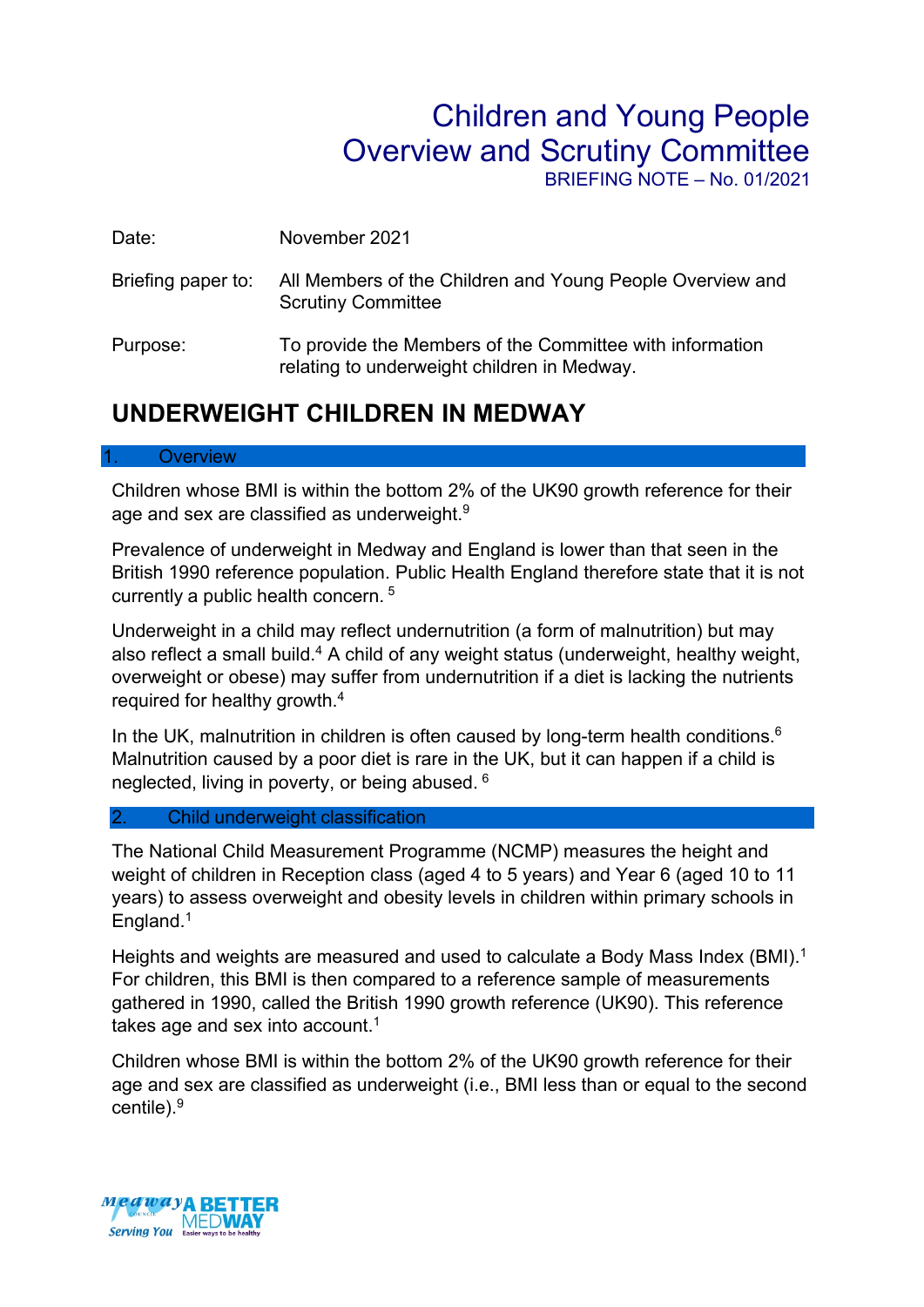# Children and Young People Overview and Scrutiny Committee

BRIEFING NOTE – No. 01/2021

| Date: | November 2021 |
|-------|---------------|
|       |               |

- Briefing paper to: All Members of the Children and Young People Overview and Scrutiny Committee
- Purpose: To provide the Members of the Committee with information relating to underweight children in Medway.

# **UNDERWEIGHT CHILDREN IN MEDWAY**

#### **Overview**

Children whose BMI is within the bottom 2% of the UK90 growth reference for their age and sex are classified as underweight.<sup>9</sup>

Prevalence of underweight in Medway and England is lower than that seen in the British 1990 reference population. Public Health England therefore state that it is not currently a public health concern. <sup>5</sup>

Underweight in a child may reflect undernutrition (a form of malnutrition) but may also reflect a small build.<sup>4</sup> A child of any weight status (underweight, healthy weight, overweight or obese) may suffer from undernutrition if a diet is lacking the nutrients required for healthy growth.<sup>4</sup>

In the UK, malnutrition in children is often caused by long-term health conditions. $6$ Malnutrition caused by a poor diet is rare in the UK, but it can happen if a child is neglected, living in poverty, or being abused. <sup>6</sup>

#### 2. Child underweight classification

The National Child Measurement Programme (NCMP) measures the height and weight of children in Reception class (aged 4 to 5 years) and Year 6 (aged 10 to 11 years) to assess overweight and obesity levels in children within primary schools in England.<sup>1</sup>

Heights and weights are measured and used to calculate a Body Mass Index (BMI).<sup>1</sup> For children, this BMI is then compared to a reference sample of measurements gathered in 1990, called the British 1990 growth reference (UK90). This reference takes age and sex into account.<sup>1</sup>

Children whose BMI is within the bottom 2% of the UK90 growth reference for their age and sex are classified as underweight (i.e., BMI less than or equal to the second centile).9

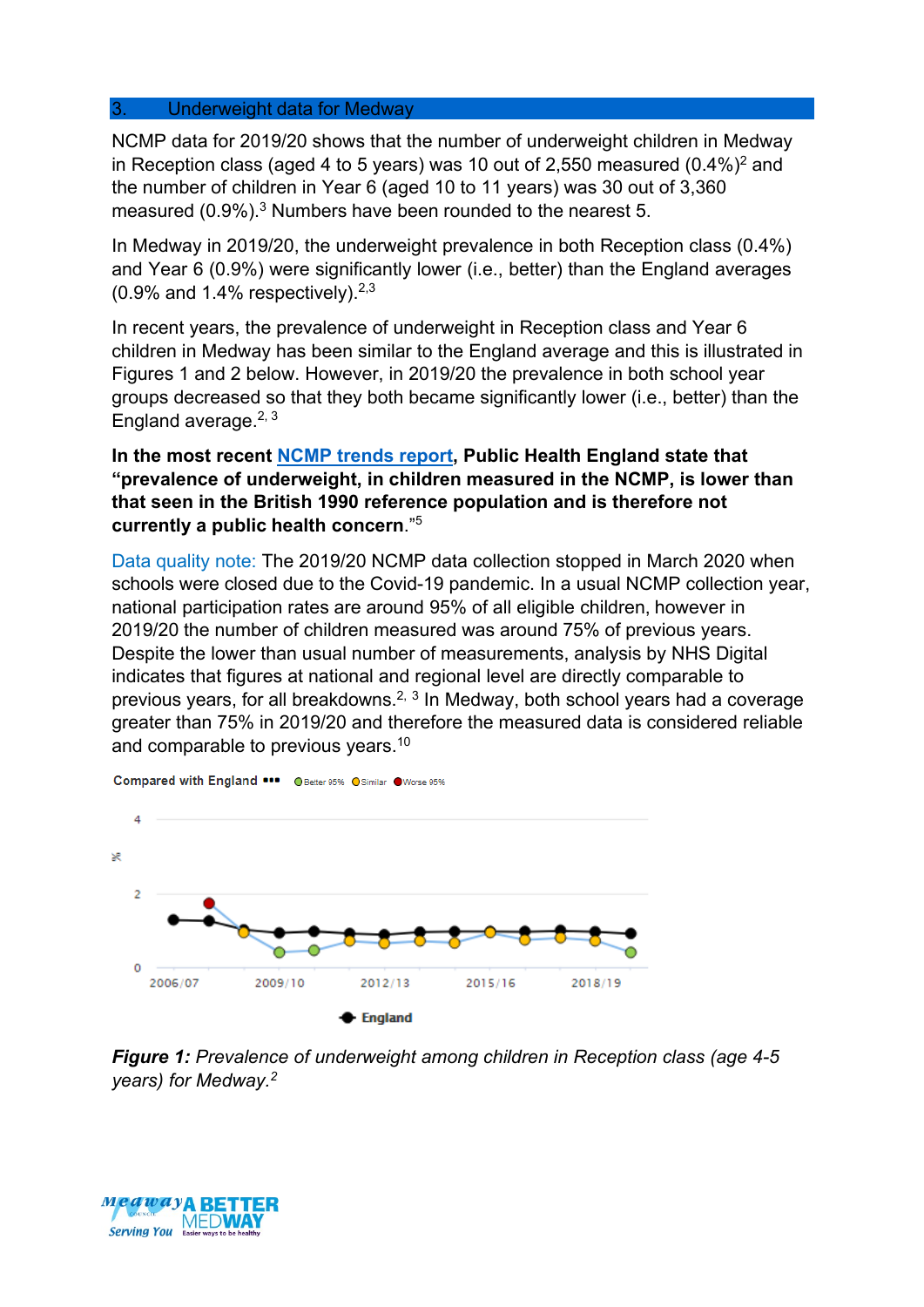#### 3. Underweight data for Medway

NCMP data for 2019/20 shows that the number of underweight children in Medway in Reception class (aged 4 to 5 years) was 10 out of 2,550 measured  $(0.4\%)^2$  and the number of children in Year 6 (aged 10 to 11 years) was 30 out of 3,360 measured (0.9%).<sup>3</sup> Numbers have been rounded to the nearest 5.

In Medway in 2019/20, the underweight prevalence in both Reception class (0.4%) and Year 6 (0.9%) were significantly lower (i.e., better) than the England averages  $(0.9\%$  and 1.4% respectively).  $2.3\%$ 

In recent years, the prevalence of underweight in Reception class and Year 6 children in Medway has been similar to the England average and this is illustrated in Figures 1 and 2 below. However, in 2019/20 the prevalence in both school year groups decreased so that they both became significantly lower (i.e., better) than the England average.  $2, 3$ 

### **In the most recent [NCMP trends report,](https://www.gov.uk/government/statistics/national-child-measurement-programme-ncmp-trends-in-child-bmi/ncmp-trends-in-childrens-bmi-between-2006-to-2007-and-2019-to-2020) Public Health England state that "prevalence of underweight, in children measured in the NCMP, is lower than that seen in the British 1990 reference population and is therefore not currently a public health concern**."5

Data quality note: The 2019/20 NCMP data collection stopped in March 2020 when schools were closed due to the Covid-19 pandemic. In a usual NCMP collection year, national participation rates are around 95% of all eligible children, however in 2019/20 the number of children measured was around 75% of previous years. Despite the lower than usual number of measurements, analysis by NHS Digital indicates that figures at national and regional level are directly comparable to previous years, for all breakdowns.<sup>2, 3</sup> In Medway, both school years had a coverage greater than 75% in 2019/20 and therefore the measured data is considered reliable and comparable to previous years.<sup>10</sup>



Compared with England ... O Better 95% O Similar O Worse 95%

*Figure 1: Prevalence of underweight among children in Reception class (age 4-5 years) for Medway.2*

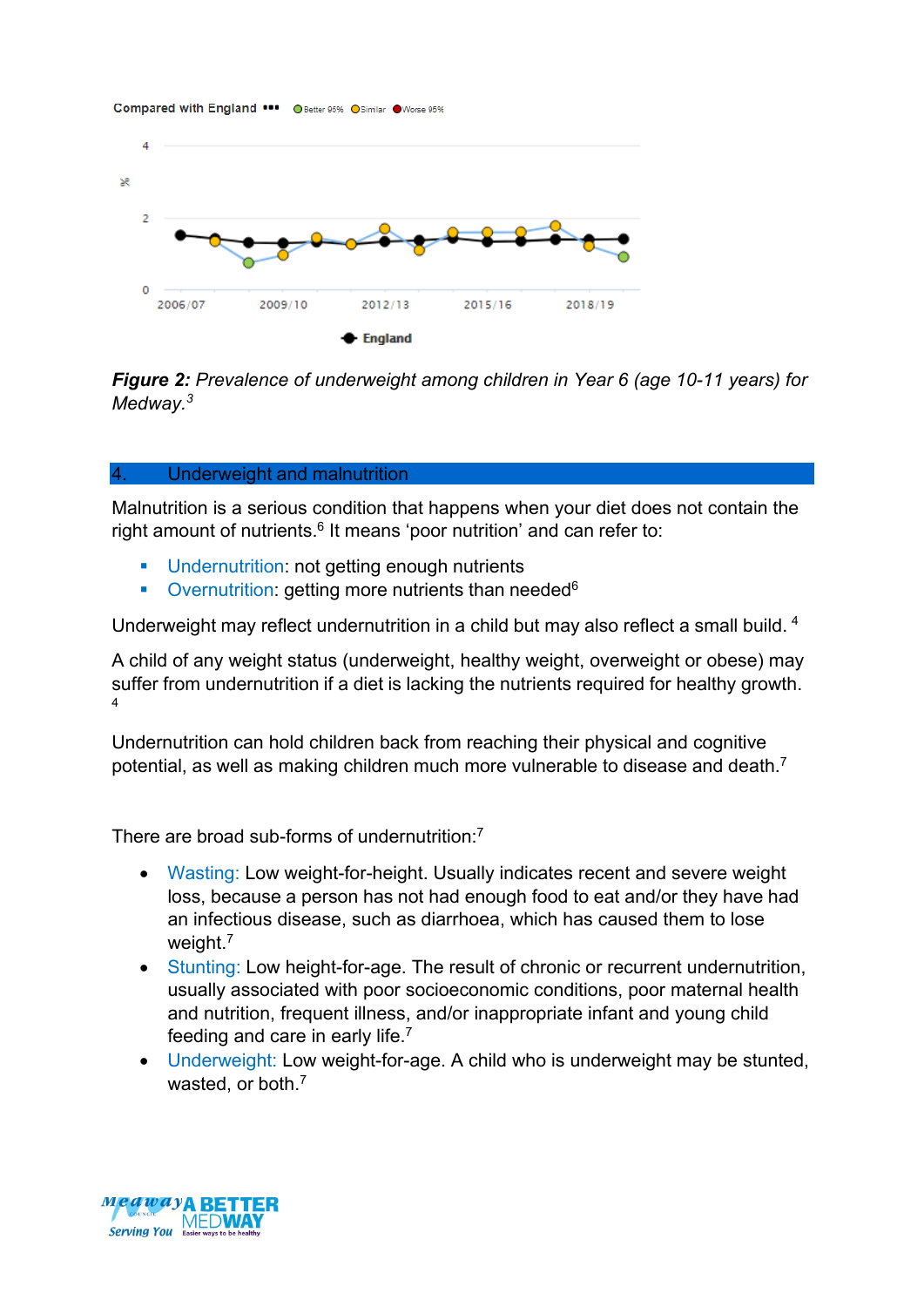

*Figure 2: Prevalence of underweight among children in Year 6 (age 10-11 years) for Medway.3*

#### 4. Underweight and malnutrition

Malnutrition is a serious condition that happens when your diet does not contain the right amount of nutrients. $6$  It means 'poor nutrition' and can refer to:

- **Undernutrition: not getting enough nutrients**
- Overnutrition: getting more nutrients than needed<sup>6</sup>

Underweight may reflect undernutrition in a child but may also reflect a small build. 4

A child of any weight status (underweight, healthy weight, overweight or obese) may suffer from undernutrition if a diet is lacking the nutrients required for healthy growth. 4

Undernutrition can hold children back from reaching their physical and cognitive potential, as well as making children much more vulnerable to disease and death.<sup>7</sup>

There are broad sub-forms of undernutrition<sup>-7</sup>

- Wasting: Low weight-for-height. Usually indicates recent and severe weight loss, because a person has not had enough food to eat and/or they have had an infectious disease, such as diarrhoea, which has caused them to lose weight.<sup>7</sup>
- Stunting: Low height-for-age. The result of chronic or recurrent undernutrition, usually associated with poor socioeconomic conditions, poor maternal health and nutrition, frequent illness, and/or inappropriate infant and young child feeding and care in early life.7
- Underweight: Low weight-for-age. A child who is underweight may be stunted, wasted, or both.<sup>7</sup>